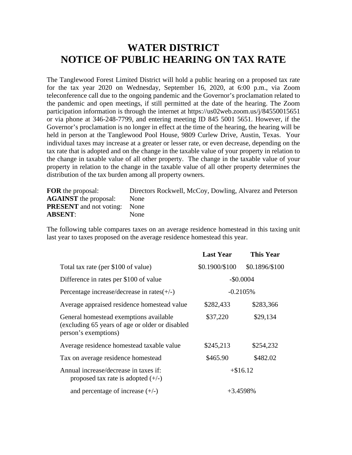## **WATER DISTRICT NOTICE OF PUBLIC HEARING ON TAX RATE**

The Tanglewood Forest Limited District will hold a public hearing on a proposed tax rate for the tax year 2020 on Wednesday, September 16, 2020, at 6:00 p.m., via Zoom teleconference call due to the ongoing pandemic and the Governor's proclamation related to the pandemic and open meetings, if still permitted at the date of the hearing. The Zoom participation information is through the internet at<https://us02web.zoom.us/j/84550015651> or via phone at 346-248-7799, and entering meeting ID 845 5001 5651. However, if the Governor's proclamation is no longer in effect at the time of the hearing, the hearing will be held in person at the Tanglewood Pool House, 9809 Curlew Drive, Austin, Texas. Your individual taxes may increase at a greater or lesser rate, or even decrease, depending on the tax rate that is adopted and on the change in the taxable value of your property in relation to the change in taxable value of all other property. The change in the taxable value of your property in relation to the change in the taxable value of all other property determines the distribution of the tax burden among all property owners.

| <b>FOR</b> the proposal:            | Directors Rockwell, McCoy, Dowling, Alvarez and Peterson |
|-------------------------------------|----------------------------------------------------------|
| <b>AGAINST</b> the proposal:        | <b>None</b>                                              |
| <b>PRESENT</b> and not voting: None |                                                          |
| <b>ABSENT:</b>                      | <b>None</b>                                              |

The following table compares taxes on an average residence homestead in this taxing unit last year to taxes proposed on the average residence homestead this year.

|                                                                                                                   | <b>Last Year</b> | <b>This Year</b> |
|-------------------------------------------------------------------------------------------------------------------|------------------|------------------|
| Total tax rate (per \$100 of value)                                                                               | \$0.1900/\$100   | \$0.1896/\$100   |
| Difference in rates per \$100 of value                                                                            | $-$0.0004$       |                  |
| Percentage increase/decrease in rates $(+/-)$                                                                     | $-0.2105%$       |                  |
| Average appraised residence homestead value                                                                       | \$282,433        | \$283,366        |
| General homestead exemptions available<br>(excluding 65 years of age or older or disabled<br>person's exemptions) | \$37,220         | \$29,134         |
| Average residence homestead taxable value                                                                         | \$245,213        | \$254,232        |
| Tax on average residence homestead                                                                                | \$465.90         | \$482.02         |
| Annual increase/decrease in taxes if:<br>proposed tax rate is adopted $(+/-)$                                     | $+\$16.12$       |                  |
| and percentage of increase $(+/-)$                                                                                | $+3.4598\%$      |                  |